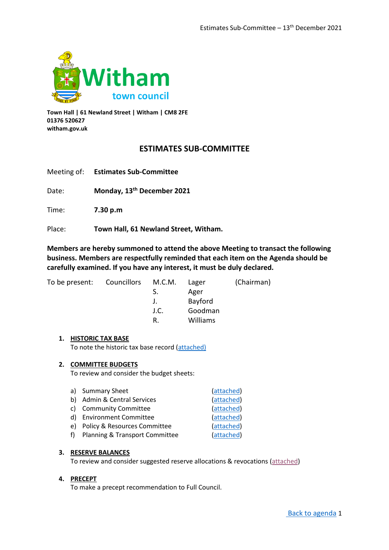<span id="page-0-1"></span><span id="page-0-0"></span>

**Town Hall | 61 Newland Street | Witham | CM8 2FE 01376 520627 witham.gov.uk**

## **ESTIMATES SUB-COMMITTEE**

| Meeting of: | <b>Estimates Sub-Committee</b> |
|-------------|--------------------------------|
|-------------|--------------------------------|

Date: **Monday, 13th December 2021**

Time: **7.30 p.m**

Place: **Town Hall, 61 Newland Street, Witham.** 

**Members are hereby summoned to attend the above Meeting to transact the following business. Members are respectfully reminded that each item on the Agenda should be carefully examined. If you have any interest, it must be duly declared.**

| To be present: Councillors M.C.M. |                        | Lager    | (Chairman) |
|-----------------------------------|------------------------|----------|------------|
|                                   | $\mathcal{S}$ .        | Ager     |            |
|                                   | $\mathbf{J}_{\bullet}$ | Bayford  |            |
|                                   | J.C.                   | Goodman  |            |
|                                   | R.                     | Williams |            |

#### **1. HISTORIC TAX BASE**

To note the historic tax base record [\(attached\)](#page-1-0)

#### **2. COMMITTEE BUDGETS**

To review and consider the budget sheets:

| a) Summary Sheet                  | (attached) |
|-----------------------------------|------------|
| b) Admin & Central Services       | (attached) |
| c) Community Committee            | (attached) |
| d) Environment Committee          | (attached) |
| e) Policy & Resources Committee   | (attached) |
| f) Planning & Transport Committee | (attached) |

#### **3. RESERVE BALANCES**

To review and consider suggested reserve allocations & revocations [\(attached\)](#page-7-0)

#### **4. PRECEPT**

To make a precept recommendation to Full Council.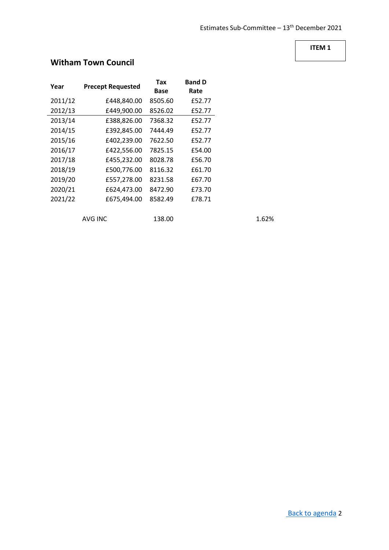## <span id="page-1-0"></span>**ITEM 1**

# **Witham Town Council**

| Year    | <b>Precept Requested</b> | Tax<br>Base | <b>Band D</b><br>Rate |
|---------|--------------------------|-------------|-----------------------|
|         |                          |             |                       |
| 2011/12 | £448,840.00              | 8505.60     | £52.77                |
| 2012/13 | £449,900.00              | 8526.02     | £52.77                |
| 2013/14 | £388,826.00              | 7368.32     | £52.77                |
| 2014/15 | £392,845.00              | 7444.49     | £52.77                |
| 2015/16 | £402,239.00              | 7622.50     | £52.77                |
| 2016/17 | £422,556.00              | 7825.15     | £54.00                |
| 2017/18 | £455,232.00              | 8028.78     | £56.70                |
| 2018/19 | £500,776.00              | 8116.32     | £61.70                |
| 2019/20 | £557,278.00              | 8231.58     | £67.70                |
| 2020/21 | £624,473.00              | 8472.90     | £73.70                |
| 2021/22 | £675,494.00              | 8582.49     | £78.71                |
|         |                          |             |                       |

AVG INC 138.00 1.62%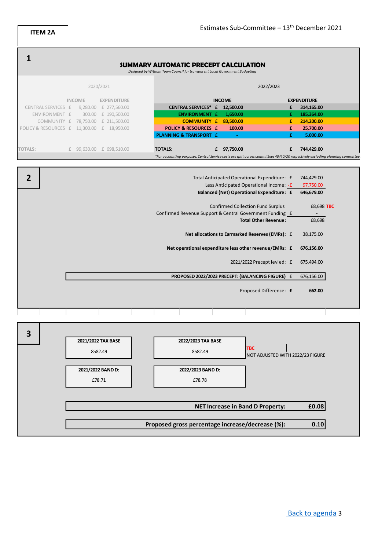<span id="page-2-0"></span>

|                                                | <b>SUMMARY AUTOMATIC PRECEPT CALCULATION</b>                                                                                   |   |                    |
|------------------------------------------------|--------------------------------------------------------------------------------------------------------------------------------|---|--------------------|
|                                                | Designed by Witham Town Council for transparent Local Government Budgeting                                                     |   |                    |
|                                                |                                                                                                                                |   |                    |
| 2020/2021                                      | 2022/2023                                                                                                                      |   |                    |
|                                                |                                                                                                                                |   |                    |
| <b>INCOME</b><br><b>EXPENDITURE</b>            | <b>INCOME</b>                                                                                                                  |   | <b>EXPENDITURE</b> |
| CENTRAL SERVICES £<br>9.280.00<br>£ 277,560.00 | <b>CENTRAL SERVICES* £</b><br>12,500.00                                                                                        | £ | 314,165.00         |
| ENVIRONMENT £<br>300.00<br>£ 190,500.00        | 1,650.00<br><b>ENVIRONMENT £</b>                                                                                               | £ | 185,364.00         |
| COMMUNITY £<br>78,750.00 £ 211,500.00          | <b>COMMUNITY £</b><br>83,500.00                                                                                                | £ | 214,200.00         |
| POLICY & RESOURCES £ 11,300.00 £ 18,950.00     | <b>POLICY &amp; RESOURCES £</b><br>100.00                                                                                      | £ | 25,700.00          |
|                                                | <b>PLANNING &amp; TRANSPORT E</b><br>$\omega$                                                                                  | £ | 5,000.00           |
| <b>TOTALS:</b><br>99,630.00 £ 698,510.00       | <b>TOTALS:</b><br>97,750.00<br>£                                                                                               |   | 744,429.00         |
|                                                | *For accounting purposes, Central Service costs are split across committees 40/40/20 respectively excluding planning committee |   |                    |
|                                                |                                                                                                                                |   |                    |
|                                                |                                                                                                                                |   |                    |
|                                                | Total Anticipated Operational Expenditure: £                                                                                   |   | 744,429.00         |
|                                                | Less Anticipated Operational Income: - £                                                                                       |   | 97,750.00          |
|                                                | Balanced (Net) Operational Expenditure: £                                                                                      |   | 646,679.00         |
|                                                |                                                                                                                                |   |                    |
|                                                | <b>Confirmed Collection Fund Surplus</b>                                                                                       |   | £8,698 TBC         |
|                                                | Confirmed Revenue Support & Central Government Funding £<br><b>Total Other Revenue:</b>                                        |   |                    |
|                                                |                                                                                                                                |   | £8,698             |
|                                                | Net allocations to Earmarked Reserves (EMRs): £                                                                                |   | 38,175.00          |

**Net operational expenditure less other revenue/EMRs:**

**PROPOSED 2022/2023 PRECEPT: (BALANCING FIGURE)**

Proposed Difference: £

2021/2022 Precept levied: £



**£ 676,156.00**

£ 675,494.00

£ 676,156.00

**£ 662.00**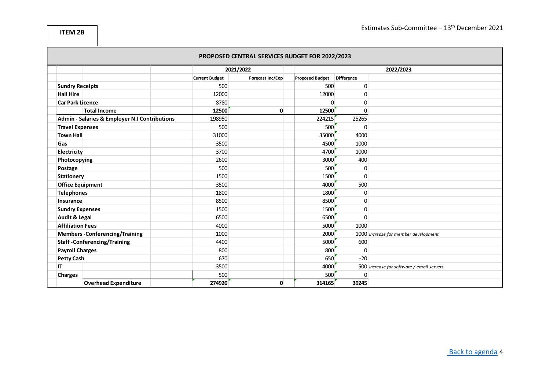<span id="page-3-0"></span>

|                          |                                               |                                           | PROPOSED CENTRAL SERVICES BUDGET FOR 2022/2023 |  |                        |             |                                           |
|--------------------------|-----------------------------------------------|-------------------------------------------|------------------------------------------------|--|------------------------|-------------|-------------------------------------------|
|                          |                                               | 2021/2022                                 |                                                |  |                        |             | 2022/2023                                 |
|                          |                                               | <b>Current Budget</b><br>Forecast Inc/Exp |                                                |  | <b>Proposed Budget</b> | Difference  |                                           |
|                          | <b>Sundry Receipts</b>                        | 500                                       |                                                |  | 500                    | 0           |                                           |
| <b>Hall Hire</b>         |                                               | 12000                                     |                                                |  | 12000                  | 0           |                                           |
|                          | <b>Car Park Licence</b>                       | 8780                                      |                                                |  | $\Omega$               | 0           |                                           |
|                          | <b>Total Income</b>                           | 12500                                     | 0                                              |  | 12500                  | 0           |                                           |
|                          | Admin - Salaries & Employer N.I Contributions | 198950                                    |                                                |  | 224215                 | 25265       |                                           |
|                          | <b>Travel Expenses</b>                        | 500                                       |                                                |  | 500                    | 0           |                                           |
| <b>Town Hall</b>         |                                               | 31000                                     |                                                |  | 35000                  | 4000        |                                           |
| Gas                      |                                               | 3500                                      |                                                |  | 4500                   | 1000        |                                           |
| Electricity              |                                               | 3700                                      |                                                |  | 4700                   | 1000        |                                           |
| Photocopying             |                                               | 2600                                      |                                                |  | 3000                   | 400         |                                           |
| Postage                  |                                               | 500                                       |                                                |  | 500                    | 0           |                                           |
| <b>Stationery</b>        |                                               | 1500                                      |                                                |  | 1500                   | $\mathbf 0$ |                                           |
|                          | <b>Office Equipment</b>                       | 3500                                      |                                                |  | 4000                   | 500         |                                           |
| <b>Telephones</b>        |                                               | 1800                                      |                                                |  | 1800                   | 0           |                                           |
| Insurance                |                                               | 8500                                      |                                                |  | 8500                   | 0           |                                           |
|                          | <b>Sundry Expenses</b>                        | 1500                                      |                                                |  | 1500                   | $\mathbf 0$ |                                           |
| <b>Audit &amp; Legal</b> |                                               | 6500                                      |                                                |  | 6500                   | $\Omega$    |                                           |
| <b>Affiliation Fees</b>  |                                               | 4000                                      |                                                |  | 5000                   | 1000        |                                           |
|                          | <b>Members-Conferencing/Training</b>          | 1000                                      |                                                |  | 2000                   |             | 1000 Increase for member development      |
|                          | <b>Staff-Conferencing/Training</b>            | 4400                                      |                                                |  | 5000                   | 600         |                                           |
|                          | <b>Payroll Charges</b>                        | 800                                       |                                                |  | 800                    | 0           |                                           |
| <b>Petty Cash</b>        |                                               | 670                                       |                                                |  | 650                    | $-20$       |                                           |
| IT.                      |                                               | 3500                                      |                                                |  | 4000                   |             | 500 Increase for software / email servers |
| <b>Charges</b>           |                                               | 500                                       |                                                |  | 500                    | 0           |                                           |
|                          | <b>Overhead Expenditure</b>                   | 274920                                    | $\mathbf{0}$                                   |  | 314165                 | 39245       |                                           |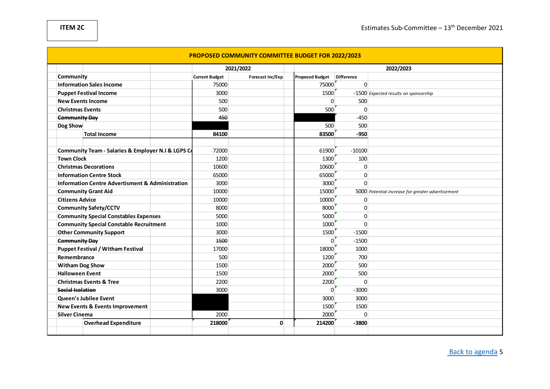<span id="page-4-0"></span>

|                                                             | PROPOSED COMMUNITY COMMITTEE BUDGET FOR 2022/2023 |                       |                  |                        |              |                                                   |  |  |  |  |  |  |  |  |
|-------------------------------------------------------------|---------------------------------------------------|-----------------------|------------------|------------------------|--------------|---------------------------------------------------|--|--|--|--|--|--|--|--|
|                                                             |                                                   |                       | 2021/2022        |                        |              | 2022/2023                                         |  |  |  |  |  |  |  |  |
| <b>Community</b>                                            |                                                   | <b>Current Budget</b> | Forecast Inc/Exp | <b>Proposed Budget</b> | Difference   |                                                   |  |  |  |  |  |  |  |  |
| <b>Information Sales Income</b>                             |                                                   | 75000                 |                  | 75000                  | $\Omega$     |                                                   |  |  |  |  |  |  |  |  |
| <b>Puppet Festival Income</b>                               |                                                   | 3000                  |                  | 1500                   |              | -1500 Expected results on sponsorship             |  |  |  |  |  |  |  |  |
| <b>New Events Income</b>                                    |                                                   | 500                   |                  | $\Omega$               | 500          |                                                   |  |  |  |  |  |  |  |  |
| <b>Christmas Events</b>                                     |                                                   | 500                   |                  | 500                    | $\mathbf{0}$ |                                                   |  |  |  |  |  |  |  |  |
| <b>Community Day</b>                                        |                                                   | 450                   |                  |                        | $-450$       |                                                   |  |  |  |  |  |  |  |  |
| Dog Show                                                    |                                                   |                       |                  | 500                    | 500          |                                                   |  |  |  |  |  |  |  |  |
| <b>Total Income</b>                                         |                                                   | 84100                 |                  | 83500                  | $-950$       |                                                   |  |  |  |  |  |  |  |  |
|                                                             |                                                   |                       |                  |                        |              |                                                   |  |  |  |  |  |  |  |  |
| Community Team - Salaries & Employer N.I & LGPS Co          |                                                   | 72000                 |                  | 61900                  | $-10100$     |                                                   |  |  |  |  |  |  |  |  |
| <b>Town Clock</b>                                           |                                                   | 1200                  |                  | 1300                   | 100          |                                                   |  |  |  |  |  |  |  |  |
| <b>Christmas Decorations</b>                                |                                                   | 10600                 |                  | 10600                  | $\Omega$     |                                                   |  |  |  |  |  |  |  |  |
| <b>Information Centre Stock</b>                             |                                                   | 65000                 |                  | 65000                  | $\mathbf 0$  |                                                   |  |  |  |  |  |  |  |  |
| <b>Information Centre Advertisment &amp; Administration</b> |                                                   | 3000                  |                  | 3000                   | $\Omega$     |                                                   |  |  |  |  |  |  |  |  |
| <b>Community Grant Aid</b>                                  |                                                   | 10000                 |                  | 15000                  |              | 5000 Potential increase for greater advertisement |  |  |  |  |  |  |  |  |
| <b>Citizens Advice</b>                                      |                                                   | 10000                 |                  | 10000                  | $\mathbf{0}$ |                                                   |  |  |  |  |  |  |  |  |
| <b>Community Safety/CCTV</b>                                |                                                   | 8000                  |                  | 8000                   | $\mathbf{0}$ |                                                   |  |  |  |  |  |  |  |  |
| <b>Community Special Constables Expenses</b>                |                                                   | 5000                  |                  | 5000                   | $\mathbf{0}$ |                                                   |  |  |  |  |  |  |  |  |
| <b>Community Special Constable Recruitment</b>              |                                                   | 1000                  |                  | 1000                   | $\Omega$     |                                                   |  |  |  |  |  |  |  |  |
| <b>Other Community Support</b>                              |                                                   | 3000                  |                  | 1500                   | $-1500$      |                                                   |  |  |  |  |  |  |  |  |
| <b>Community Day</b>                                        |                                                   | 1500                  |                  | $\Omega$               | $-1500$      |                                                   |  |  |  |  |  |  |  |  |
| <b>Puppet Festival / Witham Festival</b>                    |                                                   | 17000                 |                  | 18000                  | 1000         |                                                   |  |  |  |  |  |  |  |  |
| Remembrance                                                 |                                                   | 500                   |                  | 1200                   | 700          |                                                   |  |  |  |  |  |  |  |  |
| <b>Witham Dog Show</b>                                      |                                                   | 1500                  |                  | 2000                   | 500          |                                                   |  |  |  |  |  |  |  |  |
| <b>Halloween Event</b>                                      |                                                   | 1500                  |                  | 2000                   | 500          |                                                   |  |  |  |  |  |  |  |  |
| <b>Christmas Events &amp; Tree</b>                          |                                                   | 2200                  |                  | 2200                   | $\Omega$     |                                                   |  |  |  |  |  |  |  |  |
| Social Isolation                                            |                                                   | 3000                  |                  | $\Omega$               | $-3000$      |                                                   |  |  |  |  |  |  |  |  |
| Queen's Jubilee Event                                       |                                                   |                       |                  | 3000                   | 3000         |                                                   |  |  |  |  |  |  |  |  |
| <b>New Events &amp; Events Improvement</b>                  |                                                   |                       |                  | 1500                   | 1500         |                                                   |  |  |  |  |  |  |  |  |
| <b>Silver Cinema</b>                                        |                                                   | 2000                  |                  | 2000                   | $\mathbf{0}$ |                                                   |  |  |  |  |  |  |  |  |
| <b>Overhead Expenditure</b>                                 |                                                   | 218000                | $\mathbf{0}$     | 214200                 | $-3800$      |                                                   |  |  |  |  |  |  |  |  |
|                                                             |                                                   |                       |                  |                        |              |                                                   |  |  |  |  |  |  |  |  |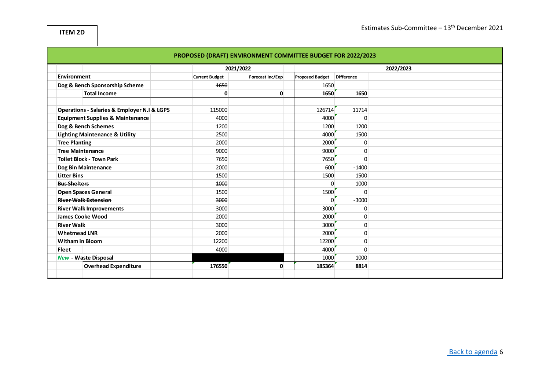<span id="page-5-0"></span>

|                                                            |                       | PROPOSED (DRAFT) ENVIRONMENT COMMITTEE BUDGET FOR 2022/2023 |                        |                   |           |
|------------------------------------------------------------|-----------------------|-------------------------------------------------------------|------------------------|-------------------|-----------|
|                                                            |                       | 2021/2022                                                   |                        |                   | 2022/2023 |
| Environment                                                | <b>Current Budget</b> | Forecast Inc/Exp                                            | <b>Proposed Budget</b> | <b>Difference</b> |           |
| Dog & Bench Sponsorship Scheme                             | 1650                  |                                                             | 1650                   |                   |           |
| <b>Total Income</b>                                        | 0                     | $\mathbf{0}$                                                | 1650                   | 1650              |           |
|                                                            |                       |                                                             |                        |                   |           |
| <b>Operations - Salaries &amp; Employer N.I &amp; LGPS</b> | 115000                |                                                             | 126714                 | 11714             |           |
| <b>Equipment Supplies &amp; Maintenance</b>                | 4000                  |                                                             | 4000                   | 0                 |           |
| Dog & Bench Schemes                                        | 1200                  |                                                             | 1200                   | 1200              |           |
| <b>Lighting Maintenance &amp; Utility</b>                  | 2500                  |                                                             | 4000                   | 1500              |           |
| <b>Tree Planting</b>                                       | 2000                  |                                                             | 2000                   | 0                 |           |
| <b>Tree Maintenance</b>                                    | 9000                  |                                                             | 9000                   | $\mathbf{0}$      |           |
| <b>Toilet Block - Town Park</b>                            | 7650                  |                                                             | 7650                   | 0                 |           |
| Dog Bin Maintenance                                        | 2000                  |                                                             | 600                    | $-1400$           |           |
| <b>Litter Bins</b>                                         | 1500                  |                                                             | 1500                   | 1500              |           |
| <b>Bus Shelters</b>                                        | 4000                  |                                                             | $\Omega$               | 1000              |           |
| <b>Open Spaces General</b>                                 | 1500                  |                                                             | 1500                   | $\Omega$          |           |
| <b>River Walk Extension</b>                                | 3000                  |                                                             | <sup>0</sup>           | $-3000$           |           |
| <b>River Walk Improvements</b>                             | 3000                  |                                                             | 3000                   | $\mathbf{0}$      |           |
| James Cooke Wood                                           | 2000                  |                                                             | 2000                   | $\mathbf{0}$      |           |
| <b>River Walk</b>                                          | 3000                  |                                                             | 3000                   | $\mathbf{0}$      |           |
| <b>Whetmead LNR</b>                                        | 2000                  |                                                             | 2000                   | 0                 |           |
| <b>Witham in Bloom</b>                                     | 12200                 |                                                             | 12200                  | $\mathbf{0}$      |           |
| <b>Fleet</b>                                               | 4000                  |                                                             | 4000                   | 0                 |           |
| <b>New - Waste Disposal</b>                                |                       |                                                             | 1000                   | 1000              |           |
| <b>Overhead Expenditure</b>                                | 176550                | $\mathbf{0}$                                                | 185364                 | 8814              |           |
|                                                            |                       |                                                             |                        |                   |           |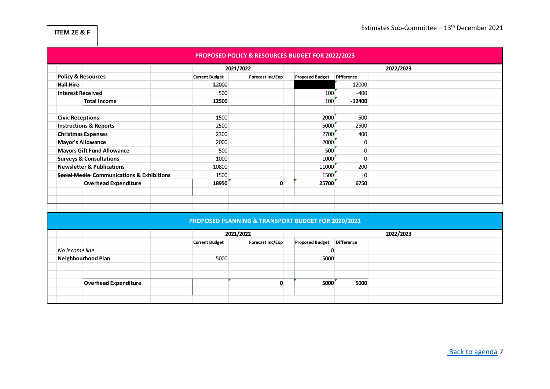|                             | PROPOSED POLICY & RESOURCES BUDGET FOR 2022/2023 |                                                      |                       |       |                  |  |                        |                   |           |  |  |  |  |  |
|-----------------------------|--------------------------------------------------|------------------------------------------------------|-----------------------|-------|------------------|--|------------------------|-------------------|-----------|--|--|--|--|--|
|                             |                                                  |                                                      |                       |       | 2021/2022        |  |                        |                   | 2022/2023 |  |  |  |  |  |
|                             | <b>Policy &amp; Resources</b>                    |                                                      | <b>Current Budget</b> |       | Forecast Inc/Exp |  | <b>Proposed Budget</b> | <b>Difference</b> |           |  |  |  |  |  |
|                             | <b>Hall Hire</b>                                 |                                                      |                       | 12000 |                  |  |                        | $-12000$          |           |  |  |  |  |  |
|                             | <b>Interest Received</b>                         |                                                      |                       | 500   |                  |  | 100                    | $-400$            |           |  |  |  |  |  |
|                             |                                                  | <b>Total Income</b>                                  |                       | 12500 |                  |  | 100                    | $-12400$          |           |  |  |  |  |  |
|                             |                                                  |                                                      |                       |       |                  |  |                        |                   |           |  |  |  |  |  |
|                             | <b>Civic Receptions</b>                          |                                                      |                       | 1500  |                  |  | 2000                   | 500               |           |  |  |  |  |  |
|                             |                                                  | <b>Instructions &amp; Reports</b>                    |                       | 2500  |                  |  | 5000                   | 2500              |           |  |  |  |  |  |
|                             |                                                  | <b>Christmas Expenses</b>                            |                       | 2300  |                  |  | 2700                   | 400               |           |  |  |  |  |  |
|                             | <b>Mayor's Allowance</b>                         |                                                      |                       | 2000  |                  |  | 2000                   | 0                 |           |  |  |  |  |  |
|                             |                                                  | <b>Mayors Gift Fund Allowance</b>                    |                       | 500   |                  |  | 500                    | 0                 |           |  |  |  |  |  |
|                             |                                                  | <b>Surveys &amp; Consultations</b>                   |                       | 1000  |                  |  | 1000                   | 0                 |           |  |  |  |  |  |
|                             |                                                  | <b>Newsletter &amp; Publications</b>                 |                       | 10800 |                  |  | 11000                  | 200               |           |  |  |  |  |  |
|                             |                                                  | <b>Social Media Communications &amp; Exhibitions</b> |                       | 1500  |                  |  | 1500                   | $\Omega$          |           |  |  |  |  |  |
| <b>Overhead Expenditure</b> |                                                  |                                                      |                       | 18950 | 0                |  | 25700                  | 6750              |           |  |  |  |  |  |
|                             |                                                  |                                                      |                       |       |                  |  |                        |                   |           |  |  |  |  |  |
|                             |                                                  |                                                      |                       |       |                  |  |                        |                   |           |  |  |  |  |  |
|                             |                                                  |                                                      |                       |       |                  |  |                        |                   |           |  |  |  |  |  |

### **PROPOSED PLANNING & TRANSPORT BUDGET FOR 2020/2021**

<span id="page-6-0"></span>

|                    |                             |                       |      | 2021/2022        |                        |            | 2022/2023 |
|--------------------|-----------------------------|-----------------------|------|------------------|------------------------|------------|-----------|
|                    |                             | <b>Current Budget</b> |      | Forecast Inc/Exp | <b>Proposed Budget</b> | Difference |           |
| No income line     |                             |                       |      |                  | O                      |            |           |
| Neighbourhood Plan |                             |                       | 5000 |                  | 5000                   |            |           |
|                    |                             |                       |      |                  |                        |            |           |
|                    |                             |                       |      |                  |                        |            |           |
|                    | <b>Overhead Expenditure</b> |                       |      |                  | 5000                   | 5000       |           |
|                    |                             |                       |      |                  |                        |            |           |
|                    |                             |                       |      |                  |                        |            |           |